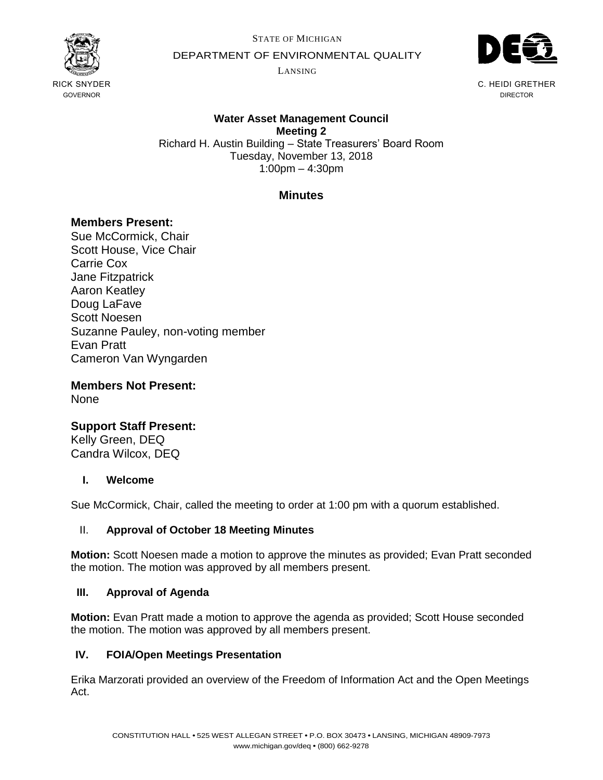STATE OF MICHIGAN



DEPARTMENT OF ENVIRONMENTAL QUALITY

LANSING



C. HEIDI GRETHER DIRECTOR

# **Water Asset Management Council Meeting 2**

Richard H. Austin Building – State Treasurers' Board Room Tuesday, November 13, 2018 1:00pm – 4:30pm

## **Minutes**

## **Members Present:**

Sue McCormick, Chair Scott House, Vice Chair Carrie Cox Jane Fitzpatrick Aaron Keatley Doug LaFave Scott Noesen Suzanne Pauley, non-voting member Evan Pratt Cameron Van Wyngarden

**Members Not Present:** None

## **Support Staff Present:**

Kelly Green, DEQ Candra Wilcox, DEQ

## **I. Welcome**

Sue McCormick, Chair, called the meeting to order at 1:00 pm with a quorum established.

## II. **Approval of October 18 Meeting Minutes**

**Motion:** Scott Noesen made a motion to approve the minutes as provided; Evan Pratt seconded the motion. The motion was approved by all members present.

## **III. Approval of Agenda**

**Motion:** Evan Pratt made a motion to approve the agenda as provided; Scott House seconded the motion. The motion was approved by all members present.

## **IV. FOIA/Open Meetings Presentation**

Erika Marzorati provided an overview of the Freedom of Information Act and the Open Meetings Act.